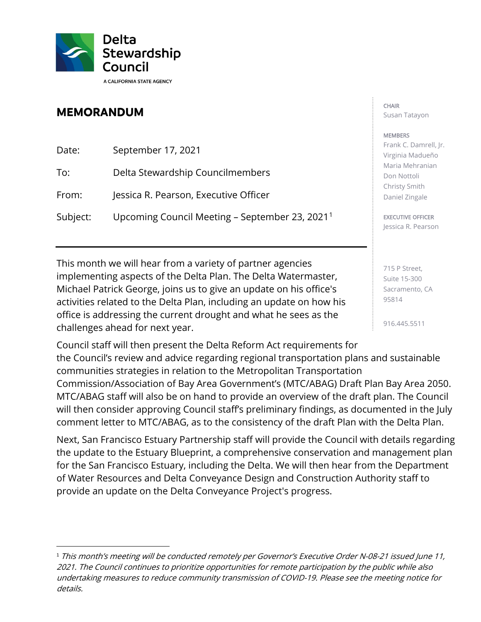

## **MEMORANDUM**

| Date:    | September 17, 2021                                         |
|----------|------------------------------------------------------------|
| To:      | Delta Stewardship Councilmembers                           |
| From:    | Jessica R. Pearson, Executive Officer                      |
| Subject: | Upcoming Council Meeting - September 23, 2021 <sup>1</sup> |

This month we will hear from a variety of partner agencies implementing aspects of the Delta Plan. The Delta Watermaster, Michael Patrick George, joins us to give an update on his office's activities related to the Delta Plan, including an update on how his office is addressing the current drought and what he sees as the challenges ahead for next year.

**CHAIR** Susan Tatayon

## **MEMBERS**

Frank C. Damrell, Jr. Virginia Madueño Maria Mehranian Don Nottoli Christy Smith Daniel Zingale

EXECUTIVE OFFICER Jessica R. Pearson

715 P Street, Suite 15-300 Sacramento, CA 95814

916.445.5511

Council staff will then present the Delta Reform Act requirements for the Council's review and advice regarding regional transportation plans and sustainable communities strategies in relation to the Metropolitan Transportation Commission/Association of Bay Area Government's (MTC/ABAG) Draft Plan Bay Area 2050. MTC/ABAG staff will also be on hand to provide an overview of the draft plan. The Council will then consider approving Council staff's preliminary findings, as documented in the July comment letter to MTC/ABAG, as to the consistency of the draft Plan with the Delta Plan.

Next, San Francisco Estuary Partnership staff will provide the Council with details regarding the update to the Estuary Blueprint, a comprehensive conservation and management plan for the San Francisco Estuary, including the Delta. We will then hear from the Department of Water Resources and Delta Conveyance Design and Construction Authority staff to provide an update on the Delta Conveyance Project's progress.

<span id="page-0-0"></span><sup>&</sup>lt;sup>1</sup> This month's meeting will be conducted remotely per Governor's Executive Order N-08-21 issued June 11, 2021. The Council continues to prioritize opportunities for remote participation by the public while also undertaking measures to reduce community transmission of COVID-19. Please see the meeting notice for details.